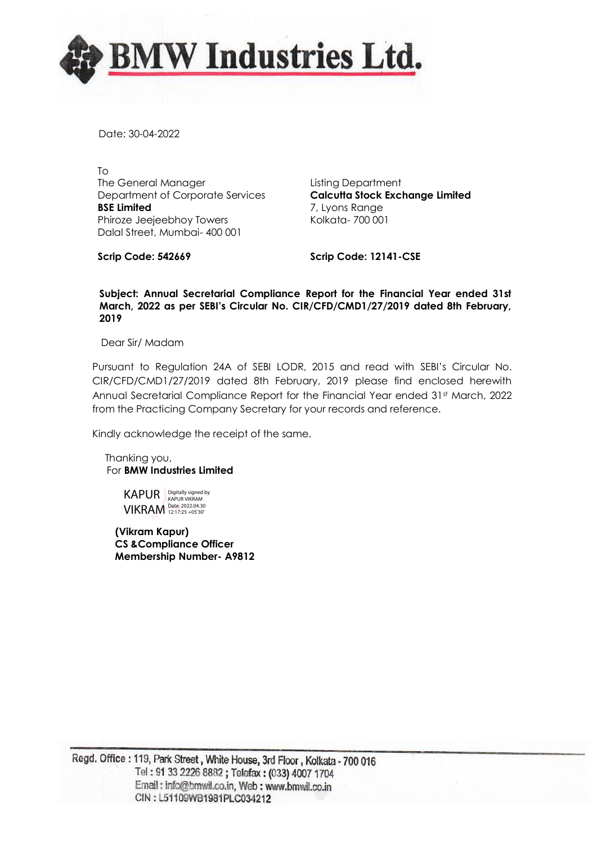

Date: 30-04-2022

To The General Manager Department of Corporate Services **BSE Limited** Phiroze Jeejeebhoy Towers Dalal Street, Mumbai- 400 001

Listing Department **Calcutta Stock Exchange Limited** 7, Lyons Range Kolkata- 700 001

**Scrip Code: 542669**

**Scrip Code: 12141-CSE**

#### **Subject: Annual Secretarial Compliance Report for the Financial Year ended 31st March, 2022 as per SEBI's Circular No. CIR/CFD/CMD1/27/2019 dated 8th February, 2019**

Dear Sir/ Madam

Pursuant to Regulation 24A of SEBI LODR, 2015 and read with SEBI's Circular No. CIR/CFD/CMD1/27/2019 dated 8th February, 2019 please find enclosed herewith Annual Secretarial Compliance Report for the Financial Year ended 31st March, 2022 from the Practicing Company Secretary for your records and reference.

Kindly acknowledge the receipt of the same.

 Thanking you, For **BMW Industries Limited**

> KAPUR Digitally signed by VIKRAM Date: 2022.04.30

 **(Vikram Kapur) CS &Compliance Officer Membership Number- A9812**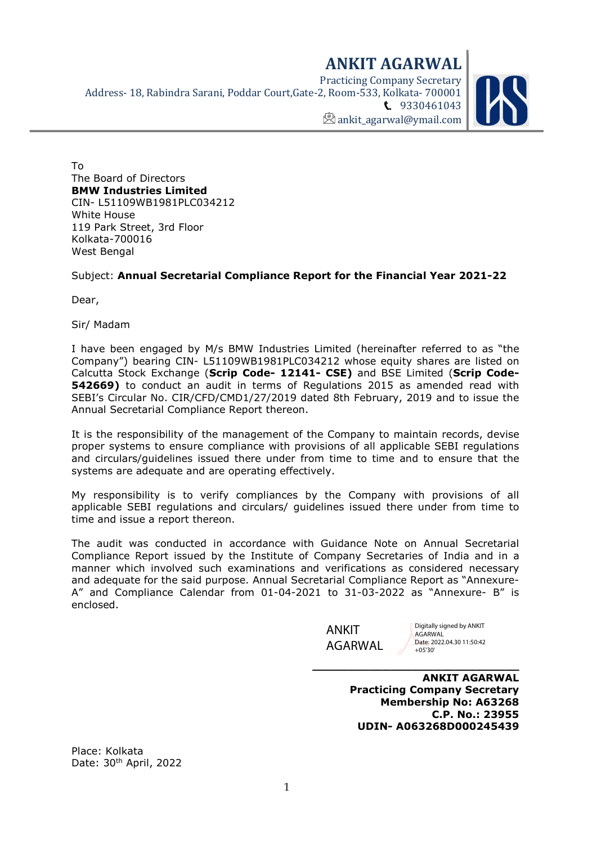ANKIT AGARWAL Practicing Company Secretary Address- 18, Rabindra Sarani, Poddar Court,Gate-2, Room-533, Kolkata- 700001 **t.** 9330461043  $\mathbb{Z}$  ankit agarwal@ymail.com



To The Board of Directors BMW Industries Limited CIN- L51109WB1981PLC034212 White House 119 Park Street, 3rd Floor Kolkata-700016 West Bengal

## Subject: Annual Secretarial Compliance Report for the Financial Year 2021-22

Dear,

Sir/ Madam

I have been engaged by M/s BMW Industries Limited (hereinafter referred to as "the Company") bearing CIN- L51109WB1981PLC034212 whose equity shares are listed on Calcutta Stock Exchange (Scrip Code- 12141- CSE) and BSE Limited (Scrip Code-**542669)** to conduct an audit in terms of Regulations 2015 as amended read with SEBI's Circular No. CIR/CFD/CMD1/27/2019 dated 8th February, 2019 and to issue the Annual Secretarial Compliance Report thereon.

It is the responsibility of the management of the Company to maintain records, devise proper systems to ensure compliance with provisions of all applicable SEBI regulations and circulars/guidelines issued there under from time to time and to ensure that the systems are adequate and are operating effectively.

My responsibility is to verify compliances by the Company with provisions of all applicable SEBI regulations and circulars/ guidelines issued there under from time to time and issue a report thereon.

The audit was conducted in accordance with Guidance Note on Annual Secretarial Compliance Report issued by the Institute of Company Secretaries of India and in a manner which involved such examinations and verifications as considered necessary and adequate for the said purpose. Annual Secretarial Compliance Report as "Annexure-A" and Compliance Calendar from 01-04-2021 to 31-03-2022 as "Annexure- B" is enclosed.

> ANKIT AGARWAL

Digitally signed by ANKIT AGARWAL Date: 2022.04.30 11:50:42 +05'30'

ANKIT AGARWAL Practicing Company Secretary Membership No: A63268 C.P. No.: 23955 UDIN- A063268D000245439

\_\_\_\_\_\_\_\_\_\_\_\_\_\_\_\_\_\_\_\_\_\_\_\_\_\_\_\_\_

Place: Kolkata Date: 30<sup>th</sup> April, 2022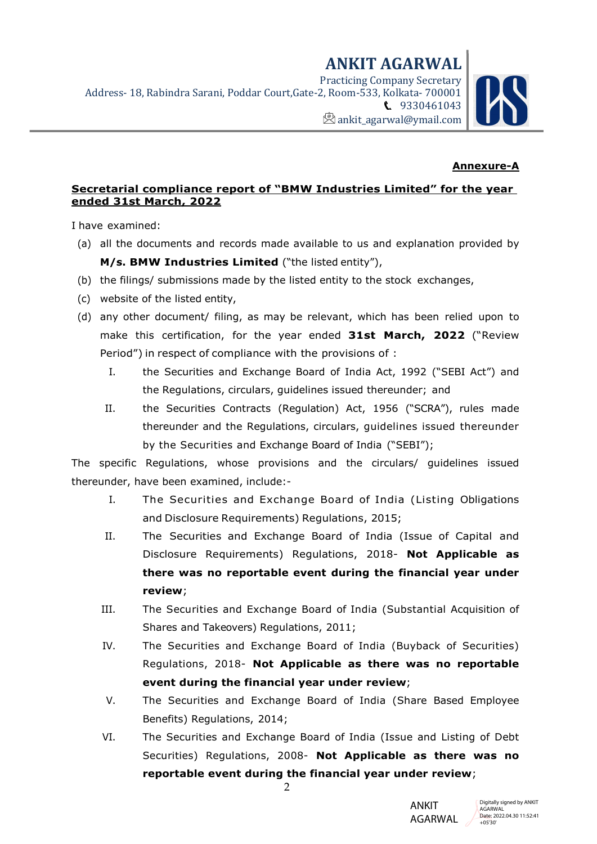## Annexure-A

#### Secretarial compliance report of "BMW Industries Limited" for the year ended 31st March, 2022

I have examined:

- (a) all the documents and records made available to us and explanation provided by M/s. BMW Industries Limited ("the listed entity"),
- (b) the filings/ submissions made by the listed entity to the stock exchanges,
- (c) website of the listed entity,
- (d) any other document/ filing, as may be relevant, which has been relied upon to make this certification, for the year ended 31st March, 2022 ("Review Period") in respect of compliance with the provisions of :
	- I. the Securities and Exchange Board of India Act, 1992 ("SEBI Act") and the Regulations, circulars, guidelines issued thereunder; and
	- II. the Securities Contracts (Regulation) Act, 1956 ("SCRA"), rules made thereunder and the Regulations, circulars, guidelines issued thereunder by the Securities and Exchange Board of India ("SEBI");

The specific Regulations, whose provisions and the circulars/ guidelines issued thereunder, have been examined, include:-

- I. The Securities and Exchange Board of India (Listing Obligations and Disclosure Requirements) Regulations, 2015;
- II. The Securities and Exchange Board of India (Issue of Capital and Disclosure Requirements) Regulations, 2018- Not Applicable as there was no reportable event during the financial year under review;
- III. The Securities and Exchange Board of India (Substantial Acquisition of Shares and Takeovers) Regulations, 2011;
- IV. The Securities and Exchange Board of India (Buyback of Securities) Regulations, 2018- Not Applicable as there was no reportable event during the financial year under review;
- V. The Securities and Exchange Board of India (Share Based Employee Benefits) Regulations, 2014;
- VI. The Securities and Exchange Board of India (Issue and Listing of Debt Securities) Regulations, 2008- Not Applicable as there was no reportable event during the financial year under review;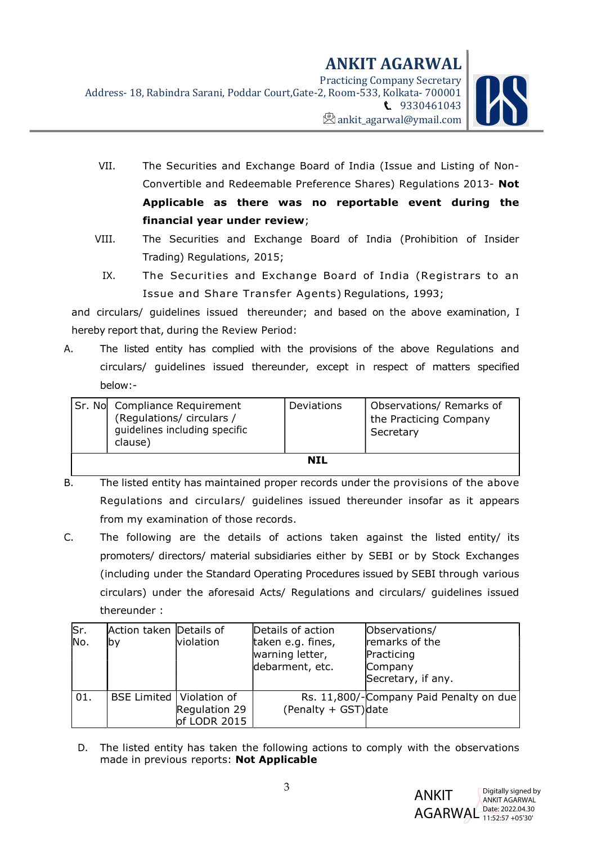

- VII. The Securities and Exchange Board of India (Issue and Listing of Non-Convertible and Redeemable Preference Shares) Regulations 2013- Not Applicable as there was no reportable event during the financial year under review;
- VIII. The Securities and Exchange Board of India (Prohibition of Insider Trading) Regulations, 2015;
	- IX. The Securities and Exchange Board of India (Registrars to an Issue and Share Transfer Agents) Regulations, 1993;

and circulars/ guidelines issued thereunder; and based on the above examination, I hereby report that, during the Review Period:

A. The listed entity has complied with the provisions of the above Regulations and circulars/ guidelines issued thereunder, except in respect of matters specified below:-

|     | Sr. No Compliance Requirement<br>(Regulations/ circulars /<br>guidelines including specific<br>clause) | Deviations | Observations/ Remarks of<br>the Practicing Company<br>Secretary |
|-----|--------------------------------------------------------------------------------------------------------|------------|-----------------------------------------------------------------|
| NIL |                                                                                                        |            |                                                                 |

- B. The listed entity has maintained proper records under the provisions of the above Regulations and circulars/ guidelines issued thereunder insofar as it appears from my examination of those records.
- C. The following are the details of actions taken against the listed entity/ its promoters/ directors/ material subsidiaries either by SEBI or by Stock Exchanges (including under the Standard Operating Procedures issued by SEBI through various circulars) under the aforesaid Acts/ Regulations and circulars/ guidelines issued thereunder :

| Sr.<br>No. | Action taken Details of<br>lbv    | <b>violation</b>              | Details of action<br>taken e.g. fines,<br>warning letter,<br>debarment, etc. | Observations/<br>remarks of the<br>Practicing<br>Company<br>Secretary, if any. |
|------------|-----------------------------------|-------------------------------|------------------------------------------------------------------------------|--------------------------------------------------------------------------------|
| 01.        | <b>BSE Limited   Violation of</b> | Regulation 29<br>of LODR 2015 | (Penalty + GST)date                                                          | Rs. 11,800/-Company Paid Penalty on due                                        |

D. The listed entity has taken the following actions to comply with the observations made in previous reports: Not Applicable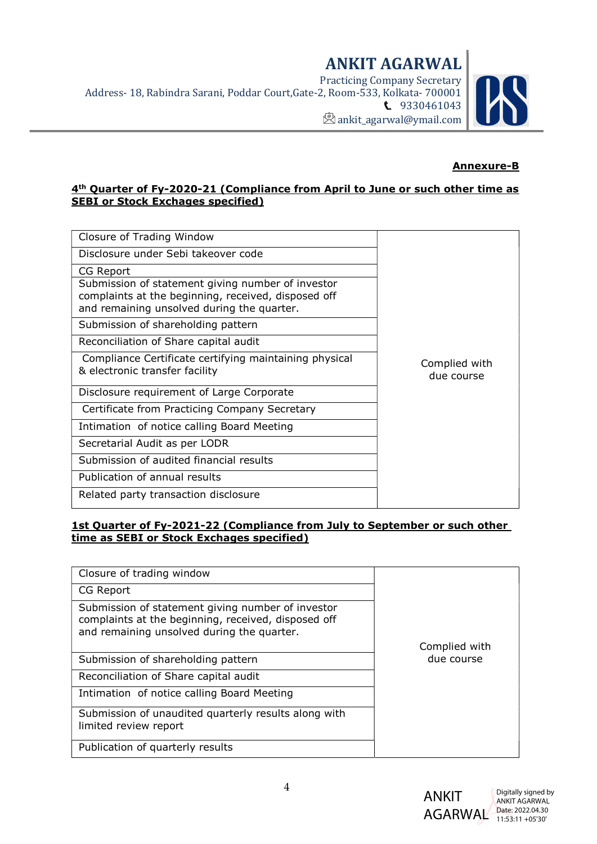

## Annexure-B

#### 4<sup>th</sup> Quarter of Fy-2020-21 (Compliance from April to June or such other time as SEBI or Stock Exchages specified)

| Closure of Trading Window                                                                                                                              |                             |
|--------------------------------------------------------------------------------------------------------------------------------------------------------|-----------------------------|
| Disclosure under Sebi takeover code                                                                                                                    |                             |
| CG Report                                                                                                                                              |                             |
| Submission of statement giving number of investor<br>complaints at the beginning, received, disposed off<br>and remaining unsolved during the quarter. |                             |
| Submission of shareholding pattern                                                                                                                     |                             |
| Reconciliation of Share capital audit                                                                                                                  |                             |
| Compliance Certificate certifying maintaining physical<br>& electronic transfer facility                                                               | Complied with<br>due course |
| Disclosure requirement of Large Corporate                                                                                                              |                             |
| Certificate from Practicing Company Secretary                                                                                                          |                             |
| Intimation of notice calling Board Meeting                                                                                                             |                             |
| Secretarial Audit as per LODR                                                                                                                          |                             |
| Submission of audited financial results                                                                                                                |                             |
| Publication of annual results                                                                                                                          |                             |
| Related party transaction disclosure                                                                                                                   |                             |

## 1st Quarter of Fy-2021-22 (Compliance from July to September or such other time as SEBI or Stock Exchages specified)

| Closure of trading window                                                                                                                              |               |
|--------------------------------------------------------------------------------------------------------------------------------------------------------|---------------|
| CG Report                                                                                                                                              |               |
| Submission of statement giving number of investor<br>complaints at the beginning, received, disposed off<br>and remaining unsolved during the quarter. |               |
|                                                                                                                                                        | Complied with |
| Submission of shareholding pattern                                                                                                                     | due course    |
| Reconciliation of Share capital audit                                                                                                                  |               |
| Intimation of notice calling Board Meeting                                                                                                             |               |
| Submission of unaudited quarterly results along with<br>limited review report                                                                          |               |
| Publication of quarterly results                                                                                                                       |               |